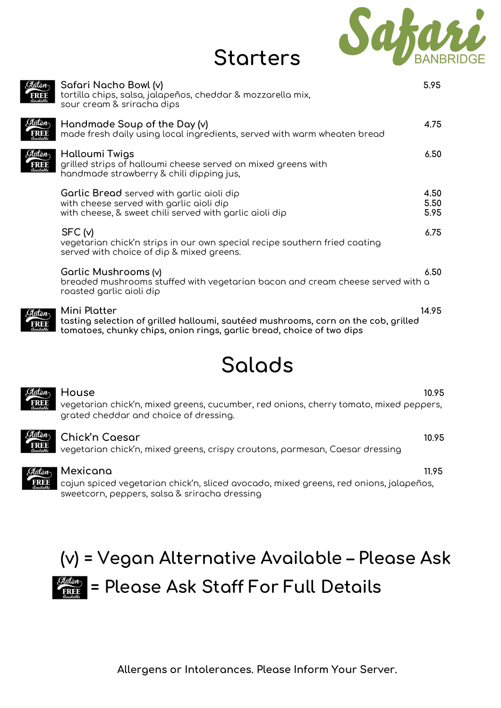

| <b>Starters</b> |  |  |  |  |
|-----------------|--|--|--|--|
|                 |  |  |  |  |

| Safari Nacho Bowl (v)<br>tortilla chips, salsa, jalapeños, cheddar & mozzarella mix,<br>sour cream & sriracha dips                                                          | 5.95                 |
|-----------------------------------------------------------------------------------------------------------------------------------------------------------------------------|----------------------|
| Handmade Soup of the Day (v)<br>made fresh daily using local ingredients, served with warm wheaten bread                                                                    | 4.75                 |
| Halloumi Twigs<br>grilled strips of halloumi cheese served on mixed greens with<br>handmade strawberry & chili dipping jus,                                                 | 6.50                 |
| Garlic Bread served with garlic aioli dip<br>with cheese served with garlic aioli dip<br>with cheese, & sweet chili served with garlic aioli dip                            | 4.50<br>5.50<br>5.95 |
| SFC (v)<br>vegetarian chick'n strips in our own special recipe southern fried coating<br>served with choice of dip & mixed greens.                                          | 6.75                 |
| Garlic Mushrooms (v)<br>breaded mushrooms stuffed with vegetarian bacon and cream cheese served with a<br>roasted garlic aioli dip                                          | 6.50                 |
| Mini Platter<br>tasting selection of grilled halloumi, sautéed mushrooms, corn on the cob, grilled<br>tomatoes, chunky chips, onion rings, garlic bread, choice of two dips | 14.95                |

## Salads



House 10.95 vegetarian chick'n, mixed greens, cucumber, red onions, cherry tomato, mixed peppers, grated cheddar and choice of dressing.



#### Chick'n Caesar 10.95

vegetarian chick'n, mixed greens, crispy croutons, parmesan, Caesar dressing



#### Mexicana 11.95

cajun spiced vegetarian chick'n, sliced avocado, mixed greens, red onions, jalapeños, sweetcorn, peppers, salsa & sriracha dressing

## (v) = Vegan Alternative Available – Please Ask  $\frac{G_{\text{other}}}{\text{Free}}$  = Please Ask Staff For Full Details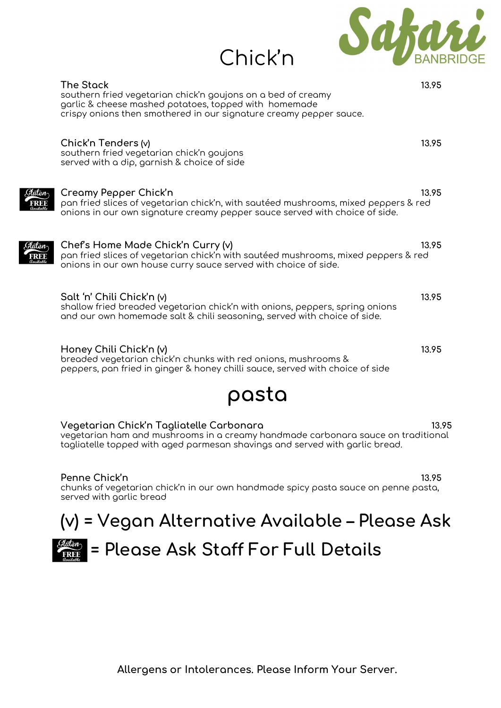

| <b>The Stack</b><br>southern fried vegetarian chick'n goujons on a bed of creamy<br>garlic & cheese mashed potatoes, topped with homemade<br>crispy onions then smothered in our signature creamy pepper sauce. | 13.95 |
|-----------------------------------------------------------------------------------------------------------------------------------------------------------------------------------------------------------------|-------|
| Chick'n Tenders (v)<br>southern fried vegetarian chick'n goujons<br>served with a dip, garnish & choice of side                                                                                                 | 13.95 |
| Creamy Pepper Chick'n<br>pan fried slices of vegetarian chick'n, with sautéed mushrooms, mixed peppers & red<br>onions in our own signature creamy pepper sauce served with choice of side.                     | 13.95 |
| Chef's Home Made Chick'n Curry (v)<br>pan fried slices of vegetarian chick'n with sautéed mushrooms, mixed peppers & red<br>onions in our own house curry sauce served with choice of side.                     | 13.95 |
| Salt 'n' Chili Chick'n (v)<br>shallow fried breaded vegetarian chick'n with onions, peppers, spring onions<br>and our own homemade salt & chili seasoning, served with choice of side.                          | 13.95 |
| Honey Chili Chick'n (v)<br>breaded vegetarian chick'n chunks with red onions, mushrooms &<br>peppers, pan fried in ginger & honey chilli sauce, served with choice of side                                      | 13.95 |

Chick'n

## pasta

| Vegetarian Chick'n Tagliatelle Carbonara                                                                                                                         | 13.95 |
|------------------------------------------------------------------------------------------------------------------------------------------------------------------|-------|
| vegetarian ham and mushrooms in a creamy handmade carbonara sauce on traditional<br>tagliatelle topped with aged parmesan shavings and served with garlic bread. |       |

Penne Chick'n 13.95 chunks of vegetarian chick'n in our own handmade spicy pasta sauce on penne pasta, served with garlic bread

# (v) = Vegan Alternative Available – Please Ask



 $\frac{G_{\text{inter}}}{F_{\text{RBE}}}$  = Please Ask Staff For Full Details